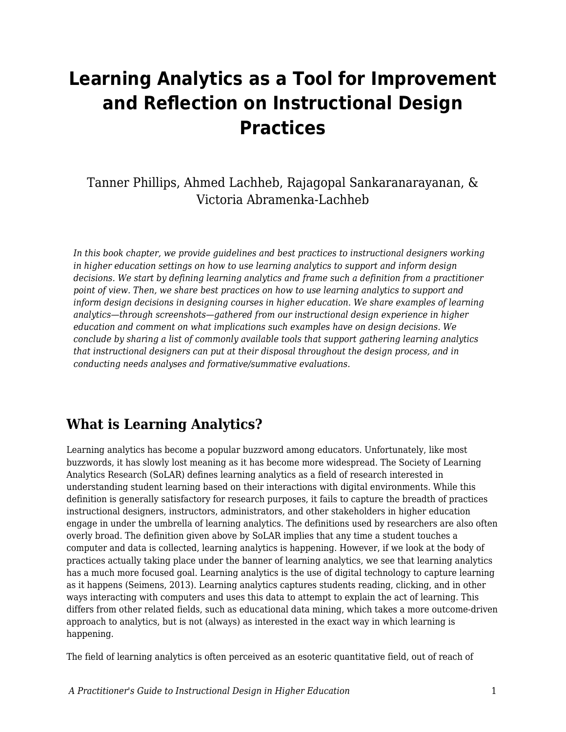# **Learning Analytics as a Tool for Improvement and Reflection on Instructional Design Practices**

Tanner Phillips, Ahmed Lachheb, Rajagopal Sankaranarayanan, & Victoria Abramenka-Lachheb

*In this book chapter, we provide guidelines and best practices to instructional designers working in higher education settings on how to use learning analytics to support and inform design decisions. We start by defining learning analytics and frame such a definition from a practitioner point of view. Then, we share best practices on how to use learning analytics to support and inform design decisions in designing courses in higher education. We share examples of learning analytics—through screenshots—gathered from our instructional design experience in higher education and comment on what implications such examples have on design decisions. We conclude by sharing a list of commonly available tools that support gathering learning analytics that instructional designers can put at their disposal throughout the design process, and in conducting needs analyses and formative/summative evaluations.*

### **What is Learning Analytics?**

Learning analytics has become a popular buzzword among educators. Unfortunately, like most buzzwords, it has slowly lost meaning as it has become more widespread. The Society of Learning Analytics Research (SoLAR) defines learning analytics as a field of research interested in understanding student learning based on their interactions with digital environments. While this definition is generally satisfactory for research purposes, it fails to capture the breadth of practices instructional designers, instructors, administrators, and other stakeholders in higher education engage in under the umbrella of learning analytics. The definitions used by researchers are also often overly broad. The definition given above by SoLAR implies that any time a student touches a computer and data is collected, learning analytics is happening. However, if we look at the body of practices actually taking place under the banner of learning analytics, we see that learning analytics has a much more focused goal. Learning analytics is the use of digital technology to capture learning as it happens (Seimens, 2013). Learning analytics captures students reading, clicking, and in other ways interacting with computers and uses this data to attempt to explain the act of learning. This differs from other related fields, such as educational data mining, which takes a more outcome-driven approach to analytics, but is not (always) as interested in the exact way in which learning is happening.

The field of learning analytics is often perceived as an esoteric quantitative field, out of reach of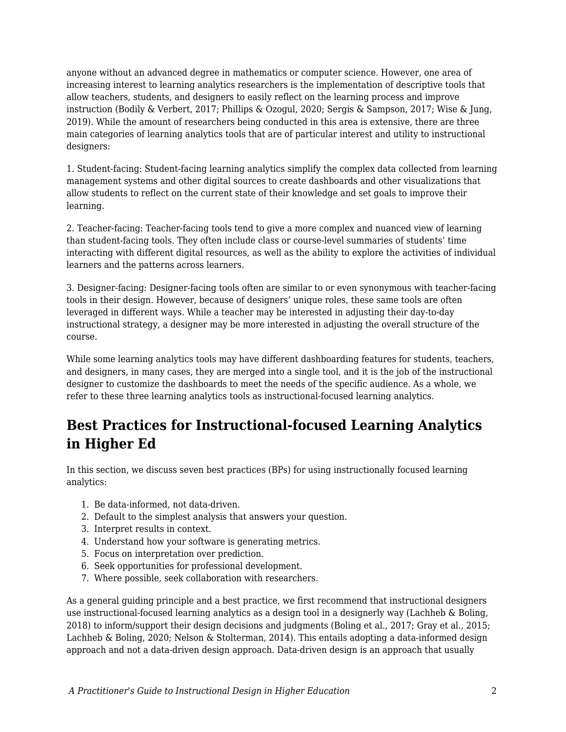anyone without an advanced degree in mathematics or computer science. However, one area of increasing interest to learning analytics researchers is the implementation of descriptive tools that allow teachers, students, and designers to easily reflect on the learning process and improve instruction (Bodily & Verbert, 2017; Phillips & Ozogul, 2020; Sergis & Sampson, 2017; Wise & Jung, 2019). While the amount of researchers being conducted in this area is extensive, there are three main categories of learning analytics tools that are of particular interest and utility to instructional designers:

1. Student-facing: Student-facing learning analytics simplify the complex data collected from learning management systems and other digital sources to create dashboards and other visualizations that allow students to reflect on the current state of their knowledge and set goals to improve their learning.

2. Teacher-facing: Teacher-facing tools tend to give a more complex and nuanced view of learning than student-facing tools. They often include class or course-level summaries of students' time interacting with different digital resources, as well as the ability to explore the activities of individual learners and the patterns across learners.

3. Designer-facing: Designer-facing tools often are similar to or even synonymous with teacher-facing tools in their design. However, because of designers' unique roles, these same tools are often leveraged in different ways. While a teacher may be interested in adjusting their day-to-day instructional strategy, a designer may be more interested in adjusting the overall structure of the course.

While some learning analytics tools may have different dashboarding features for students, teachers, and designers, in many cases, they are merged into a single tool, and it is the job of the instructional designer to customize the dashboards to meet the needs of the specific audience. As a whole, we refer to these three learning analytics tools as instructional-focused learning analytics.

# **Best Practices for Instructional-focused Learning Analytics in Higher Ed**

In this section, we discuss seven best practices (BPs) for using instructionally focused learning analytics:

- 1. Be data-informed, not data-driven.
- 2. Default to the simplest analysis that answers your question.
- 3. Interpret results in context.
- 4. Understand how your software is generating metrics.
- 5. Focus on interpretation over prediction.
- 6. Seek opportunities for professional development.
- 7. Where possible, seek collaboration with researchers.

As a general guiding principle and a best practice, we first recommend that instructional designers use instructional-focused learning analytics as a design tool in a designerly way (Lachheb & Boling, 2018) to inform/support their design decisions and judgments (Boling et al., 2017; Gray et al., 2015; Lachheb & Boling, 2020; Nelson & Stolterman, 2014). This entails adopting a data-informed design approach and not a data-driven design approach. Data-driven design is an approach that usually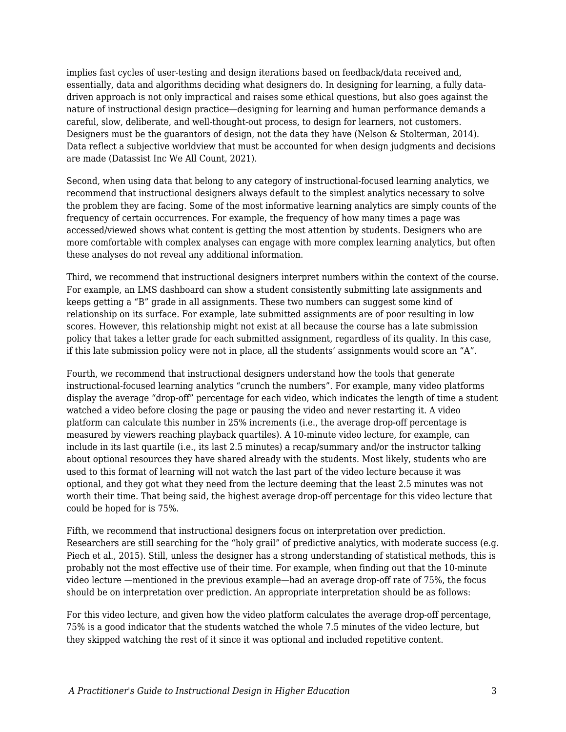implies fast cycles of user-testing and design iterations based on feedback/data received and, essentially, data and algorithms deciding what designers do. In designing for learning, a fully datadriven approach is not only impractical and raises some ethical questions, but also goes against the nature of instructional design practice—designing for learning and human performance demands a careful, slow, deliberate, and well-thought-out process, to design for learners, not customers. Designers must be the guarantors of design, not the data they have (Nelson & Stolterman, 2014). Data reflect a subjective worldview that must be accounted for when design judgments and decisions are made (Datassist Inc We All Count, 2021).

Second, when using data that belong to any category of instructional-focused learning analytics, we recommend that instructional designers always default to the simplest analytics necessary to solve the problem they are facing. Some of the most informative learning analytics are simply counts of the frequency of certain occurrences. For example, the frequency of how many times a page was accessed/viewed shows what content is getting the most attention by students. Designers who are more comfortable with complex analyses can engage with more complex learning analytics, but often these analyses do not reveal any additional information.

Third, we recommend that instructional designers interpret numbers within the context of the course. For example, an LMS dashboard can show a student consistently submitting late assignments and keeps getting a "B" grade in all assignments. These two numbers can suggest some kind of relationship on its surface. For example, late submitted assignments are of poor resulting in low scores. However, this relationship might not exist at all because the course has a late submission policy that takes a letter grade for each submitted assignment, regardless of its quality. In this case, if this late submission policy were not in place, all the students' assignments would score an "A".

Fourth, we recommend that instructional designers understand how the tools that generate instructional-focused learning analytics "crunch the numbers". For example, many video platforms display the average "drop-off" percentage for each video, which indicates the length of time a student watched a video before closing the page or pausing the video and never restarting it. A video platform can calculate this number in 25% increments (i.e., the average drop-off percentage is measured by viewers reaching playback quartiles). A 10-minute video lecture, for example, can include in its last quartile (i.e., its last 2.5 minutes) a recap/summary and/or the instructor talking about optional resources they have shared already with the students. Most likely, students who are used to this format of learning will not watch the last part of the video lecture because it was optional, and they got what they need from the lecture deeming that the least 2.5 minutes was not worth their time. That being said, the highest average drop-off percentage for this video lecture that could be hoped for is 75%.

Fifth, we recommend that instructional designers focus on interpretation over prediction. Researchers are still searching for the "holy grail" of predictive analytics, with moderate success (e.g. Piech et al., 2015). Still, unless the designer has a strong understanding of statistical methods, this is probably not the most effective use of their time. For example, when finding out that the 10-minute video lecture —mentioned in the previous example—had an average drop-off rate of 75%, the focus should be on interpretation over prediction. An appropriate interpretation should be as follows:

For this video lecture, and given how the video platform calculates the average drop-off percentage, 75% is a good indicator that the students watched the whole 7.5 minutes of the video lecture, but they skipped watching the rest of it since it was optional and included repetitive content.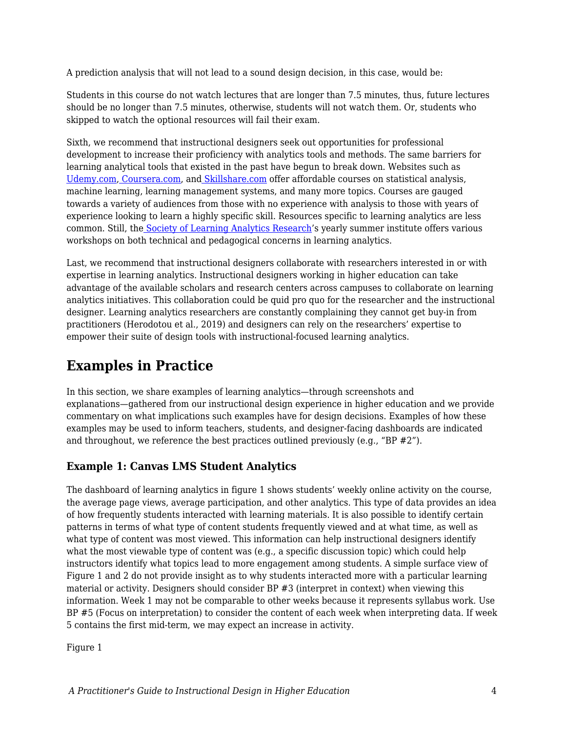A prediction analysis that will not lead to a sound design decision, in this case, would be:

Students in this course do not watch lectures that are longer than 7.5 minutes, thus, future lectures should be no longer than 7.5 minutes, otherwise, students will not watch them. Or, students who skipped to watch the optional resources will fail their exam.

Sixth, we recommend that instructional designers seek out opportunities for professional development to increase their proficiency with analytics tools and methods. The same barriers for learning analytical tools that existed in the past have begun to break down. Websites such as [Udemy.com](http://udemy.com/), [Coursera.com,](http://coursera.com/) an[d](http://skillshare.com/) [Skillshare.com](http://skillshare.com/) offer affordable courses on statistical analysis, machine learning, learning management systems, and many more topics. Courses are gauged towards a variety of audiences from those with no experience with analysis to those with years of experience looking to learn a highly specific skill. Resources specific to learning analytics are less common. Still, th[e](https://www.solaresearch.org/) [Society of Learning Analytics Research](https://www.solaresearch.org/)'s yearly summer institute offers various workshops on both technical and pedagogical concerns in learning analytics.

Last, we recommend that instructional designers collaborate with researchers interested in or with expertise in learning analytics. Instructional designers working in higher education can take advantage of the available scholars and research centers across campuses to collaborate on learning analytics initiatives. This collaboration could be quid pro quo for the researcher and the instructional designer. Learning analytics researchers are constantly complaining they cannot get buy-in from practitioners (Herodotou et al., 2019) and designers can rely on the researchers' expertise to empower their suite of design tools with instructional-focused learning analytics.

# **Examples in Practice**

In this section, we share examples of learning analytics—through screenshots and explanations—gathered from our instructional design experience in higher education and we provide commentary on what implications such examples have for design decisions. Examples of how these examples may be used to inform teachers, students, and designer-facing dashboards are indicated and throughout, we reference the best practices outlined previously (e.g., "BP  $#2$ ").

### **Example 1: Canvas LMS Student Analytics**

The dashboard of learning analytics in figure 1 shows students' weekly online activity on the course, the average page views, average participation, and other analytics. This type of data provides an idea of how frequently students interacted with learning materials. It is also possible to identify certain patterns in terms of what type of content students frequently viewed and at what time, as well as what type of content was most viewed. This information can help instructional designers identify what the most viewable type of content was (e.g., a specific discussion topic) which could help instructors identify what topics lead to more engagement among students. A simple surface view of Figure 1 and 2 do not provide insight as to why students interacted more with a particular learning material or activity. Designers should consider BP #3 (interpret in context) when viewing this information. Week 1 may not be comparable to other weeks because it represents syllabus work. Use BP #5 (Focus on interpretation) to consider the content of each week when interpreting data. If week 5 contains the first mid-term, we may expect an increase in activity.

Figure 1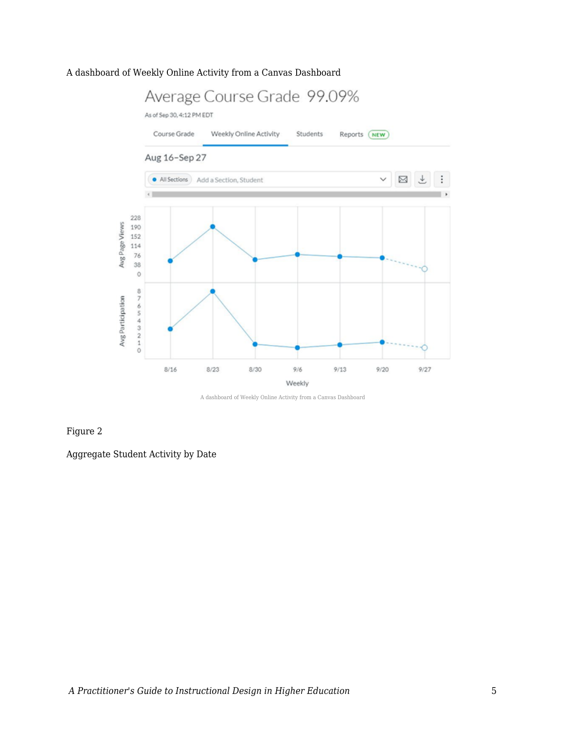#### A dashboard of Weekly Online Activity from a Canvas Dashboard



A dashboard of Weekly Online Activity from a Canvas Dashboard

#### Figure 2

Aggregate Student Activity by Date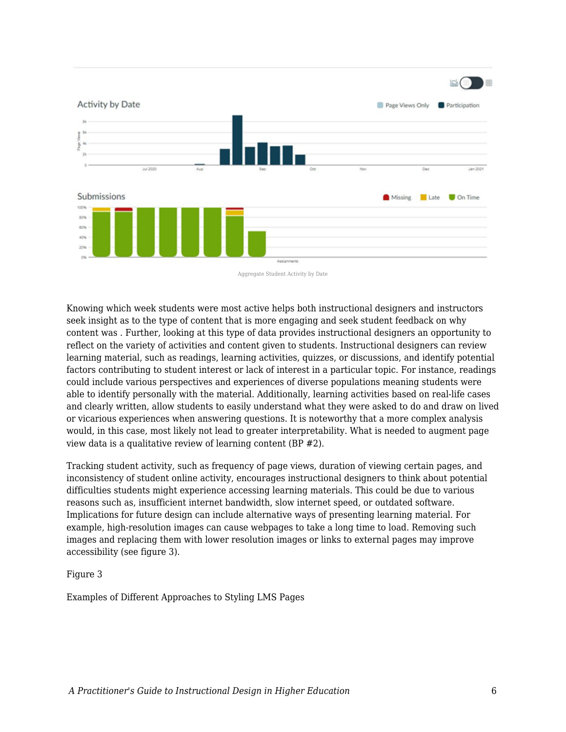

Aggregate Student Activity by Date

Knowing which week students were most active helps both instructional designers and instructors seek insight as to the type of content that is more engaging and seek student feedback on why content was . Further, looking at this type of data provides instructional designers an opportunity to reflect on the variety of activities and content given to students. Instructional designers can review learning material, such as readings, learning activities, quizzes, or discussions, and identify potential factors contributing to student interest or lack of interest in a particular topic. For instance, readings could include various perspectives and experiences of diverse populations meaning students were able to identify personally with the material. Additionally, learning activities based on real-life cases and clearly written, allow students to easily understand what they were asked to do and draw on lived or vicarious experiences when answering questions. It is noteworthy that a more complex analysis would, in this case, most likely not lead to greater interpretability. What is needed to augment page view data is a qualitative review of learning content (BP #2).

Tracking student activity, such as frequency of page views, duration of viewing certain pages, and inconsistency of student online activity, encourages instructional designers to think about potential difficulties students might experience accessing learning materials. This could be due to various reasons such as, insufficient internet bandwidth, slow internet speed, or outdated software. Implications for future design can include alternative ways of presenting learning material. For example, high-resolution images can cause webpages to take a long time to load. Removing such images and replacing them with lower resolution images or links to external pages may improve accessibility (see figure 3).

#### Figure 3

Examples of Different Approaches to Styling LMS Pages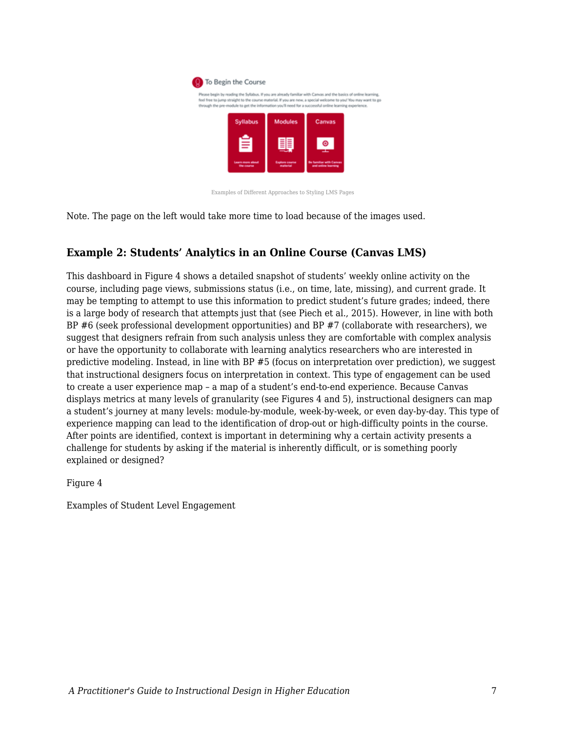

Examples of Different Approaches to Styling LMS Pages

Note. The page on the left would take more time to load because of the images used.

### **Example 2: Students' Analytics in an Online Course (Canvas LMS)**

This dashboard in Figure 4 shows a detailed snapshot of students' weekly online activity on the course, including page views, submissions status (i.e., on time, late, missing), and current grade. It may be tempting to attempt to use this information to predict student's future grades; indeed, there is a large body of research that attempts just that (see Piech et al., 2015). However, in line with both BP #6 (seek professional development opportunities) and BP #7 (collaborate with researchers), we suggest that designers refrain from such analysis unless they are comfortable with complex analysis or have the opportunity to collaborate with learning analytics researchers who are interested in predictive modeling. Instead, in line with BP #5 (focus on interpretation over prediction), we suggest that instructional designers focus on interpretation in context. This type of engagement can be used to create a user experience map – a map of a student's end-to-end experience. Because Canvas displays metrics at many levels of granularity (see Figures 4 and 5), instructional designers can map a student's journey at many levels: module-by-module, week-by-week, or even day-by-day. This type of experience mapping can lead to the identification of drop-out or high-difficulty points in the course. After points are identified, context is important in determining why a certain activity presents a challenge for students by asking if the material is inherently difficult, or is something poorly explained or designed?

Figure 4

Examples of Student Level Engagement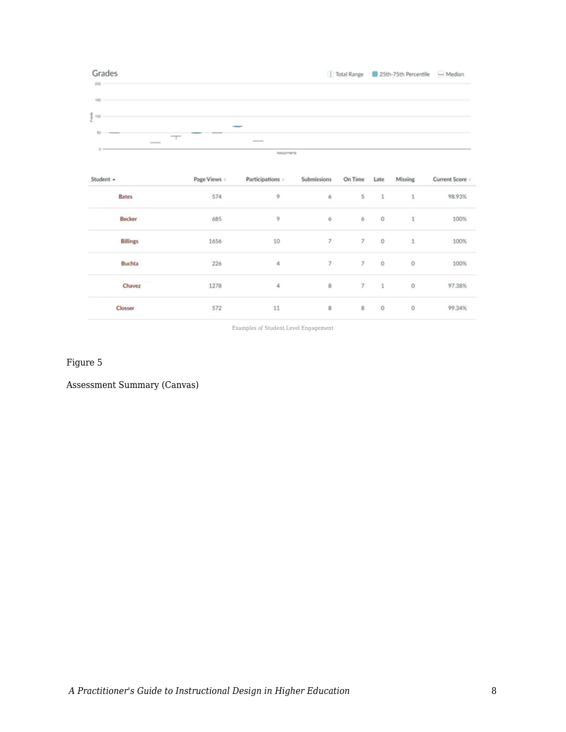

| Student +       | Page Views | Participations o | Submissions    | On Time        | Late         | Missing      | Current Score : |
|-----------------|------------|------------------|----------------|----------------|--------------|--------------|-----------------|
| <b>Bates</b>    | 574        | 9                | 6              | 5              | 1            | $\mathbf{1}$ | 98.93%          |
| Becker          | 685        | 9                | 6              | 6              | $\circ$      | $\mathbf{1}$ | 100%            |
| <b>Billings</b> | 1656       | 10               | $\overline{7}$ | $\overline{7}$ | $\circ$      | $\mathbf{1}$ | 100%            |
| <b>Buchta</b>   | 226        | 4                | 7              | 7              | $\circ$      | $\circ$      | 100%            |
| Chavez          | 1278       | 4                | 8              | 7              | $\mathbf{1}$ | $\circ$      | 97.38%          |
| Closser         | 572        | 11               | 8              | 8              | $\circ$      | 0            | 99.34%          |

Examples of Student Level Engagement

Figure 5

Assessment Summary (Canvas)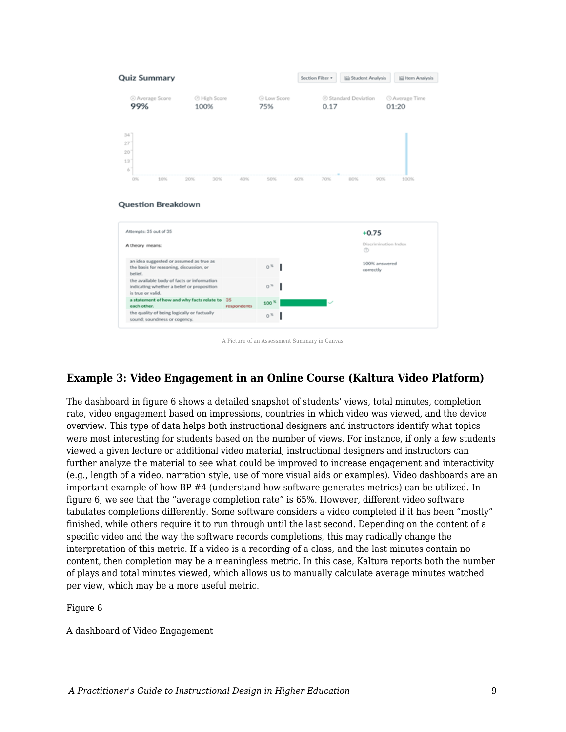



A Picture of an Assessment Summary in Canvas

### **Example 3: Video Engagement in an Online Course (Kaltura Video Platform)**

The dashboard in figure 6 shows a detailed snapshot of students' views, total minutes, completion rate, video engagement based on impressions, countries in which video was viewed, and the device overview. This type of data helps both instructional designers and instructors identify what topics were most interesting for students based on the number of views. For instance, if only a few students viewed a given lecture or additional video material, instructional designers and instructors can further analyze the material to see what could be improved to increase engagement and interactivity (e.g., length of a video, narration style, use of more visual aids or examples). Video dashboards are an important example of how BP #4 (understand how software generates metrics) can be utilized. In figure 6, we see that the "average completion rate" is 65%. However, different video software tabulates completions differently. Some software considers a video completed if it has been "mostly" finished, while others require it to run through until the last second. Depending on the content of a specific video and the way the software records completions, this may radically change the interpretation of this metric. If a video is a recording of a class, and the last minutes contain no content, then completion may be a meaningless metric. In this case, Kaltura reports both the number of plays and total minutes viewed, which allows us to manually calculate average minutes watched per view, which may be a more useful metric.

Figure 6

A dashboard of Video Engagement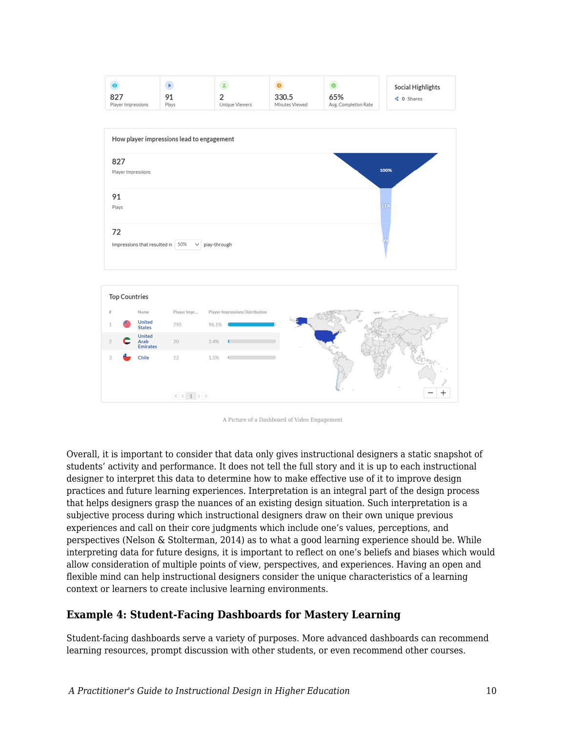





Overall, it is important to consider that data only gives instructional designers a static snapshot of students' activity and performance. It does not tell the full story and it is up to each instructional designer to interpret this data to determine how to make effective use of it to improve design practices and future learning experiences. Interpretation is an integral part of the design process that helps designers grasp the nuances of an existing design situation. Such interpretation is a subjective process during which instructional designers draw on their own unique previous experiences and call on their core judgments which include one's values, perceptions, and perspectives (Nelson & Stolterman, 2014) as to what a good learning experience should be. While interpreting data for future designs, it is important to reflect on one's beliefs and biases which would allow consideration of multiple points of view, perspectives, and experiences. Having an open and flexible mind can help instructional designers consider the unique characteristics of a learning context or learners to create inclusive learning environments.

### **Example 4: Student-Facing Dashboards for Mastery Learning**

Student-facing dashboards serve a variety of purposes. More advanced dashboards can recommend learning resources, prompt discussion with other students, or even recommend other courses.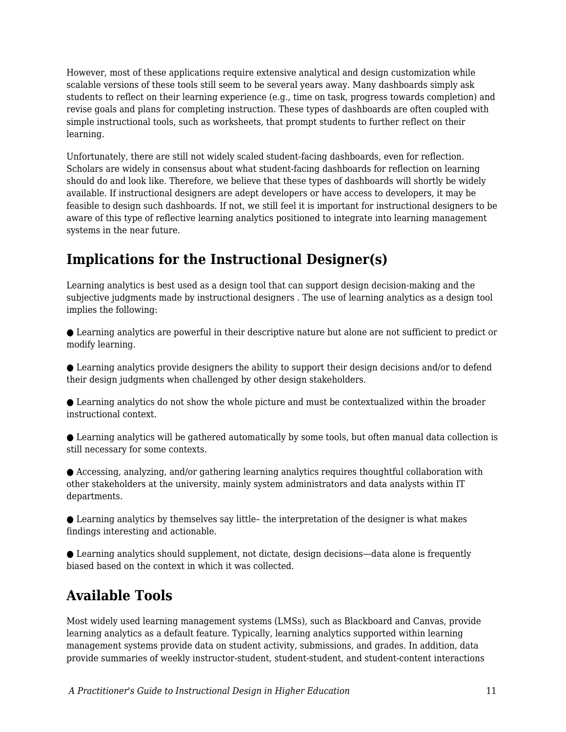However, most of these applications require extensive analytical and design customization while scalable versions of these tools still seem to be several years away. Many dashboards simply ask students to reflect on their learning experience (e.g., time on task, progress towards completion) and revise goals and plans for completing instruction. These types of dashboards are often coupled with simple instructional tools, such as worksheets, that prompt students to further reflect on their learning.

Unfortunately, there are still not widely scaled student-facing dashboards, even for reflection. Scholars are widely in consensus about what student-facing dashboards for reflection on learning should do and look like. Therefore, we believe that these types of dashboards will shortly be widely available. If instructional designers are adept developers or have access to developers, it may be feasible to design such dashboards. If not, we still feel it is important for instructional designers to be aware of this type of reflective learning analytics positioned to integrate into learning management systems in the near future.

# **Implications for the Instructional Designer(s)**

Learning analytics is best used as a design tool that can support design decision-making and the subjective judgments made by instructional designers . The use of learning analytics as a design tool implies the following:

● Learning analytics are powerful in their descriptive nature but alone are not sufficient to predict or modify learning.

● Learning analytics provide designers the ability to support their design decisions and/or to defend their design judgments when challenged by other design stakeholders.

● Learning analytics do not show the whole picture and must be contextualized within the broader instructional context.

● Learning analytics will be gathered automatically by some tools, but often manual data collection is still necessary for some contexts.

● Accessing, analyzing, and/or gathering learning analytics requires thoughtful collaboration with other stakeholders at the university, mainly system administrators and data analysts within IT departments.

● Learning analytics by themselves say little– the interpretation of the designer is what makes findings interesting and actionable.

● Learning analytics should supplement, not dictate, design decisions—data alone is frequently biased based on the context in which it was collected.

# **Available Tools**

Most widely used learning management systems (LMSs), such as Blackboard and Canvas, provide learning analytics as a default feature. Typically, learning analytics supported within learning management systems provide data on student activity, submissions, and grades. In addition, data provide summaries of weekly instructor-student, student-student, and student-content interactions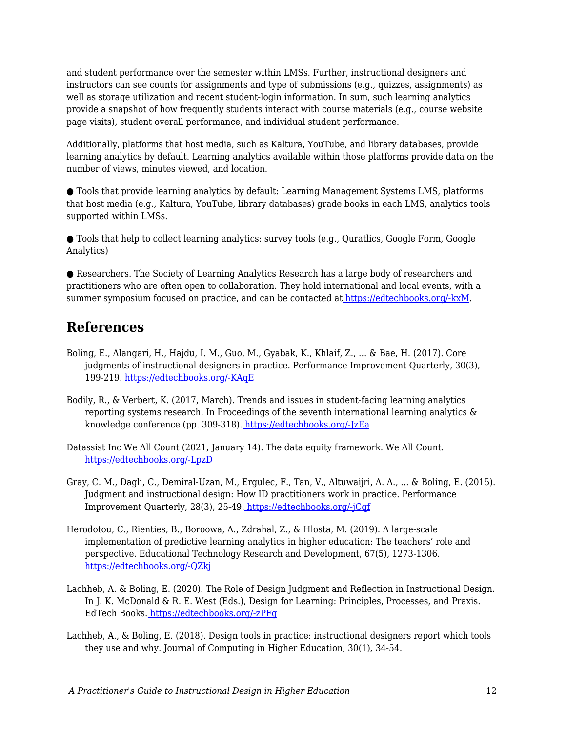and student performance over the semester within LMSs. Further, instructional designers and instructors can see counts for assignments and type of submissions (e.g., quizzes, assignments) as well as storage utilization and recent student-login information. In sum, such learning analytics provide a snapshot of how frequently students interact with course materials (e.g., course website page visits), student overall performance, and individual student performance.

Additionally, platforms that host media, such as Kaltura, YouTube, and library databases, provide learning analytics by default. Learning analytics available within those platforms provide data on the number of views, minutes viewed, and location.

● Tools that provide learning analytics by default: Learning Management Systems LMS, platforms that host media (e.g., Kaltura, YouTube, library databases) grade books in each LMS, analytics tools supported within LMSs.

● Tools that help to collect learning analytics: survey tools (e.g., Quratlics, Google Form, Google Analytics)

● Researchers. The Society of Learning Analytics Research has a large body of researchers and practitioners who are often open to collaboration. They hold international and local events, with a summer symposium focused on practice, and can be contacted at [https://edtechbooks.org/-kxM.](https://www.solaresearch.org/contact/)

### **References**

- Boling, E., Alangari, H., Hajdu, I. M., Guo, M., Gyabak, K., Khlaif, Z., ... & Bae, H. (2017). Core judgments of instructional designers in practice. Performance Improvement Quarterly, 30(3), 199-219[.](https://doi.org/10.1002/piq.21250) [https://edtechbooks.org/-KAqE](https://doi.org/10.1002/piq.21250)
- Bodily, R., & Verbert, K. (2017, March). Trends and issues in student-facing learning analytics reporting systems research. In Proceedings of the seventh international learning analytics & knowledge conference (pp. 309-318)[.](https://doi.org/10.1145/3027385.3027403) [https://edtechbooks.org/-JzEa](https://doi.org/10.1145/3027385.3027403)
- Datassist Inc We All Count (2021, January 14). The data equity framework. We All Count. [https://edtechbooks.org/-LpzD](https://weallcount.com/the-data-process/)
- Gray, C. M., Dagli, C., Demiral‐Uzan, M., Ergulec, F., Tan, V., Altuwaijri, A. A., ... & Boling, E. (2015). Judgment and instructional design: How ID practitioners work in practice. Performance Improvement Quarterly, 28(3), 25-49. [https://edtechbooks.org/-jCqf](https://doi.org/10.1002/piq.21198)
- Herodotou, C., Rienties, B., Boroowa, A., Zdrahal, Z., & Hlosta, M. (2019). A large-scale implementation of predictive learning analytics in higher education: The teachers' role and perspective. Educational Technology Research and Development, 67(5), 1273-1306. [https://edtechbooks.org/-QZkj](https://doi.org/10.1007/s11423-019-09685-0)
- Lachheb, A. & Boling, E. (2020). The Role of Design Judgment and Reflection in Instructional Design. In J. K. McDonald & R. E. West (Eds.), Design for Learning: Principles, Processes, and Praxis. EdTech Books. [https://edtechbooks.org/-zPFg](https://edtechbooks.org/id/design_judgment)
- Lachheb, A., & Boling, E. (2018). Design tools in practice: instructional designers report which tools they use and why. Journal of Computing in Higher Education, 30(1), 34-54.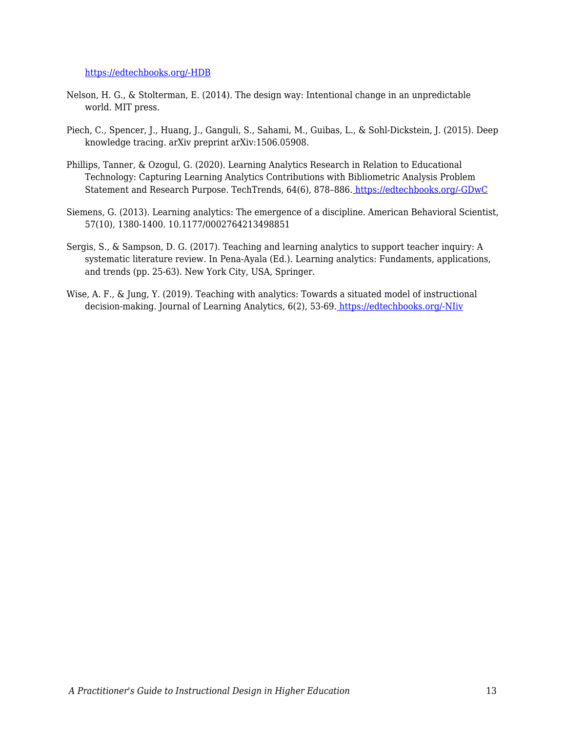#### [https://edtechbooks.org/-HDB](https://doi.org/10.1007/s12528-017-9165-x)

- Nelson, H. G., & Stolterman, E. (2014). The design way: Intentional change in an unpredictable world. MIT press.
- Piech, C., Spencer, J., Huang, J., Ganguli, S., Sahami, M., Guibas, L., & Sohl-Dickstein, J. (2015). Deep knowledge tracing. arXiv preprint arXiv:1506.05908.
- Phillips, Tanner, & Ozogul, G. (2020). Learning Analytics Research in Relation to Educational Technology: Capturing Learning Analytics Contributions with Bibliometric Analysis Problem Statement and Research Purpose. TechTrends, 64(6), 878–886. [https://edtechbooks.org/-GDwC](https://doi.org/https:/doi.org/10.1007/s11528-020-00519-y)
- Siemens, G. (2013). Learning analytics: The emergence of a discipline. American Behavioral Scientist, 57(10), 1380-1400. 10.1177/0002764213498851
- Sergis, S., & Sampson, D. G. (2017). Teaching and learning analytics to support teacher inquiry: A systematic literature review. In Pena-Ayala (Ed.). Learning analytics: Fundaments, applications, and trends (pp. 25-63). New York City, USA, Springer.
- Wise, A. F., & Jung, Y. (2019). Teaching with analytics: Towards a situated model of instructional decision-making. Journal of Learning Analytics, 6(2), 53-69[.](https://doi.org/10.18608/jla.2019.62.4) [https://edtechbooks.org/-NIiv](https://doi.org/10.18608/jla.2019.62.4)